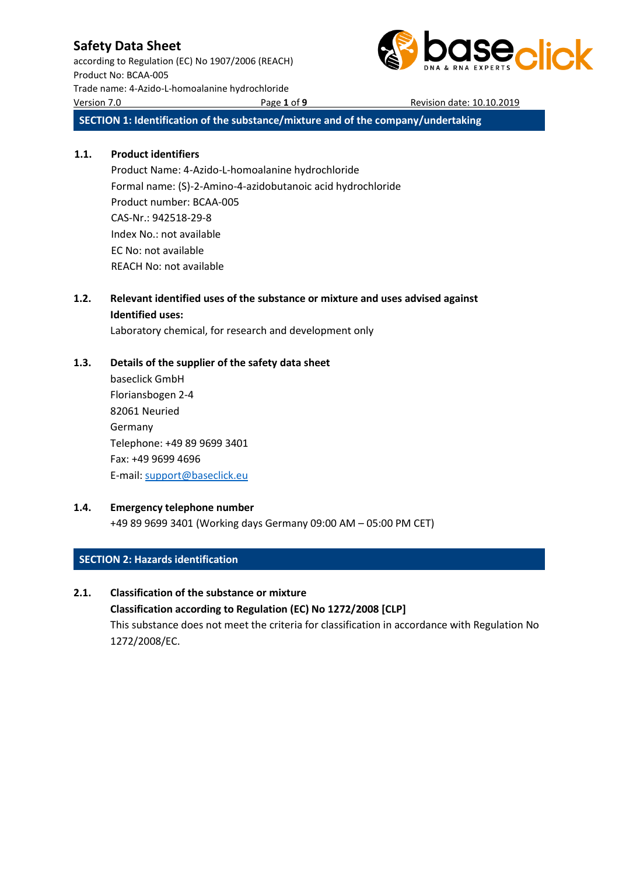according to Regulation (EC) No 1907/2006 (REACH) Product No: BCAA-005 Trade name: 4-Azido-L-homoalanine hydrochloride Version 7.0 Page **1** of **9** Revision date: 10.10.2019



**SECTION 1: Identification of the substance/mixture and of the company/undertaking**

### **1.1. Product identifiers**

Product Name: 4-Azido-L-homoalanine hydrochloride Formal name: (S)-2-Amino-4-azidobutanoic acid hydrochloride Product number: BCAA-005 CAS-Nr.: 942518-29-8 Index No.: not available EC No: not available REACH No: not available

# **1.2. Relevant identified uses of the substance or mixture and uses advised against Identified uses:**

Laboratory chemical, for research and development only

# **1.3. Details of the supplier of the safety data sheet**

baseclick GmbH Floriansbogen 2-4 82061 Neuried Germany Telephone: +49 89 9699 3401 Fax: +49 9699 4696 E-mail[: support@baseclick.eu](mailto:support@baseclick.eu)

### **1.4. Emergency telephone number**

+49 89 9699 3401 (Working days Germany 09:00 AM – 05:00 PM CET)

# **SECTION 2: Hazards identification**

### **2.1. Classification of the substance or mixture**

**Classification according to Regulation (EC) No 1272/2008 [CLP]** This substance does not meet the criteria for classification in accordance with Regulation No 1272/2008/EC.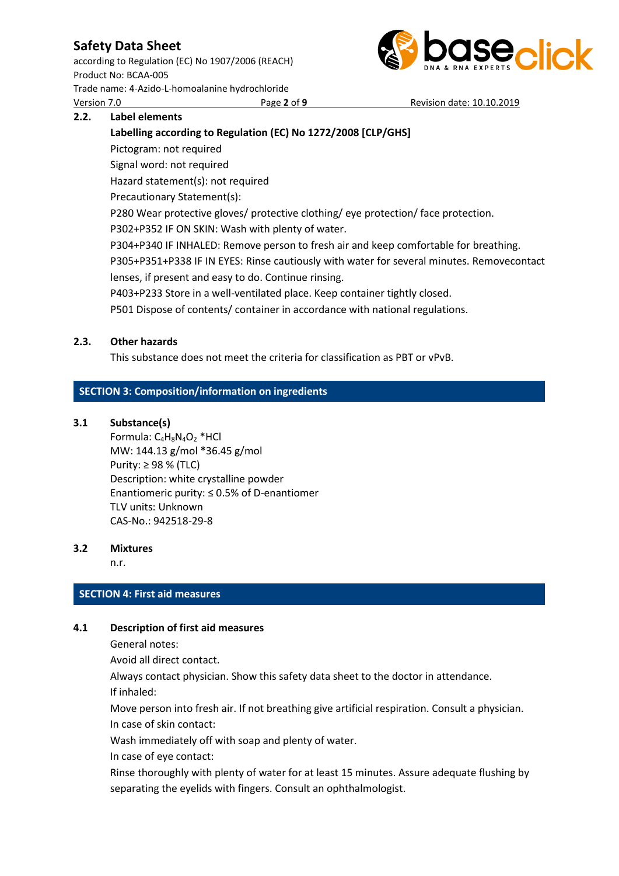according to Regulation (EC) No 1907/2006 (REACH) Product No: BCAA-005 Trade name: 4-Azido-L-homoalanine hydrochloride Version 7.0 Page **2** of **9** Revision date: 10.10.2019



### **2.2. Label elements**

**Labelling according to Regulation (EC) No 1272/2008 [CLP/GHS]** Pictogram: not required Signal word: not required Hazard statement(s): not required Precautionary Statement(s): P280 Wear protective gloves/ protective clothing/ eye protection/ face protection. P302+P352 IF ON SKIN: Wash with plenty of water. P304+P340 IF INHALED: Remove person to fresh air and keep comfortable for breathing. P305+P351+P338 IF IN EYES: Rinse cautiously with water for several minutes. Removecontact lenses, if present and easy to do. Continue rinsing. P403+P233 Store in a well-ventilated place. Keep container tightly closed.

P501 Dispose of contents/ container in accordance with national regulations.

### **2.3. Other hazards**

This substance does not meet the criteria for classification as PBT or vPvB.

# **SECTION 3: Composition/information on ingredients**

### **3.1 Substance(s)**

Formula: C<sub>4</sub>H<sub>8</sub>N<sub>4</sub>O<sub>2</sub> \*HCl MW: 144.13 g/mol \*36.45 g/mol Purity: ≥ 98 % (TLC) Description: white crystalline powder Enantiomeric purity:  $\leq 0.5\%$  of D-enantiomer TLV units: Unknown CAS-No.: 942518-29-8

### **3.2 Mixtures**

n.r.

# **SECTION 4: First aid measures**

# **4.1 Description of first aid measures**

General notes:

Avoid all direct contact.

Always contact physician. Show this safety data sheet to the doctor in attendance. If inhaled:

Move person into fresh air. If not breathing give artificial respiration. Consult a physician. In case of skin contact:

Wash immediately off with soap and plenty of water.

In case of eye contact:

Rinse thoroughly with plenty of water for at least 15 minutes. Assure adequate flushing by separating the eyelids with fingers. Consult an ophthalmologist.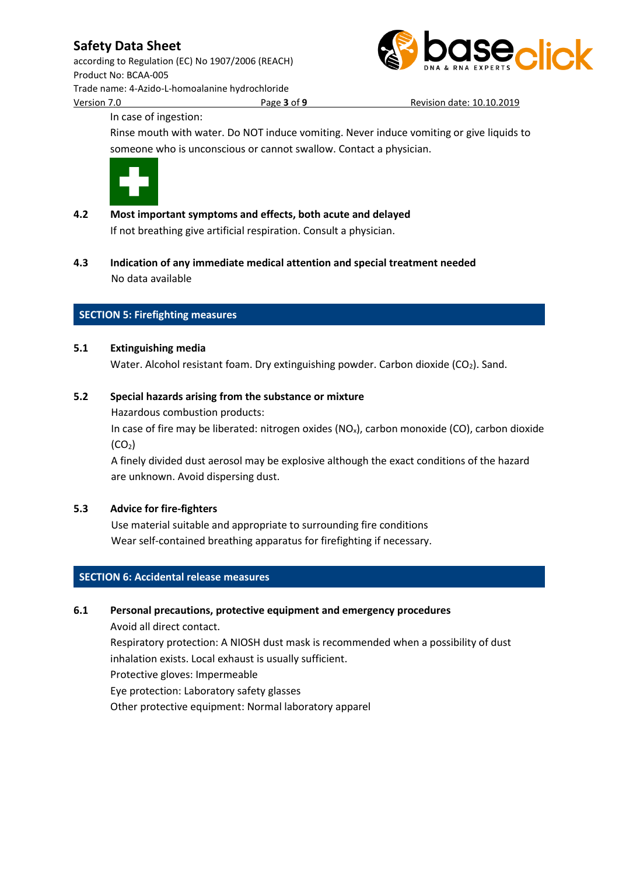according to Regulation (EC) No 1907/2006 (REACH) Product No: BCAA-005 Trade name: 4-Azido-L-homoalanine hydrochloride Version 7.0 Page **3** of **9** Revision date: 10.10.2019



In case of ingestion:

Rinse mouth with water. Do NOT induce vomiting. Never induce vomiting or give liquids to someone who is unconscious or cannot swallow. Contact a physician.



**4.2 Most important symptoms and effects, both acute and delayed** If not breathing give artificial respiration. Consult a physician.

**4.3 Indication of any immediate medical attention and special treatment needed** No data available

# **SECTION 5: Firefighting measures**

# **5.1 Extinguishing media**

Water. Alcohol resistant foam. Dry extinguishing powder. Carbon dioxide  $(CO<sub>2</sub>)$ . Sand.

### **5.2 Special hazards arising from the substance or mixture**

Hazardous combustion products:

In case of fire may be liberated: nitrogen oxides (NO<sub>x</sub>), carbon monoxide (CO), carbon dioxide  $(CO<sub>2</sub>)$ 

A finely divided dust aerosol may be explosive although the exact conditions of the hazard are unknown. Avoid dispersing dust.

# **5.3 Advice for fire-fighters**

Use material suitable and appropriate to surrounding fire conditions Wear self-contained breathing apparatus for firefighting if necessary.

# **SECTION 6: Accidental release measures**

# **6.1 Personal precautions, protective equipment and emergency procedures**

Avoid all direct contact.

Respiratory protection: A NIOSH dust mask is recommended when a possibility of dust inhalation exists. Local exhaust is usually sufficient. Protective gloves: Impermeable

Eye protection: Laboratory safety glasses

Other protective equipment: Normal laboratory apparel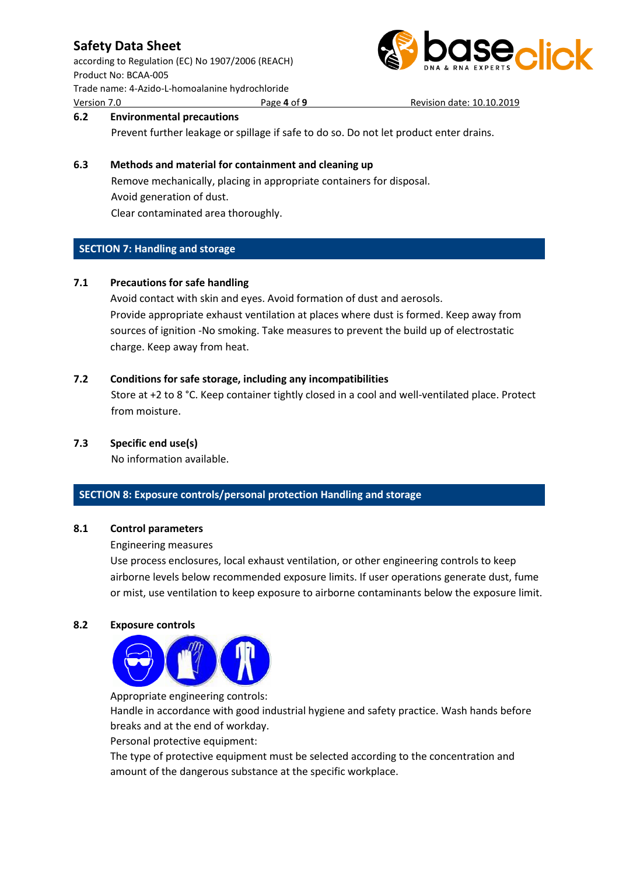according to Regulation (EC) No 1907/2006 (REACH) Product No: BCAA-005 Trade name: 4-Azido-L-homoalanine hydrochloride Version 7.0 Page **4** of **9** Revision date: 10.10.2019



# **6.2 Environmental precautions**

Prevent further leakage or spillage if safe to do so. Do not let product enter drains.

# **6.3 Methods and material for containment and cleaning up**

Remove mechanically, placing in appropriate containers for disposal. Avoid generation of dust. Clear contaminated area thoroughly.

# **SECTION 7: Handling and storage**

### **7.1 Precautions for safe handling**

Avoid contact with skin and eyes. Avoid formation of dust and aerosols. Provide appropriate exhaust ventilation at places where dust is formed. Keep away from sources of ignition -No smoking. Take measures to prevent the build up of electrostatic charge. Keep away from heat.

### **7.2 Conditions for safe storage, including any incompatibilities**

Store at +2 to 8 °C. Keep container tightly closed in a cool and well-ventilated place. Protect from moisture.

### **7.3 Specific end use(s)**

No information available.

### **SECTION 8: Exposure controls/personal protection Handling and storage**

### **8.1 Control parameters**

### Engineering measures

Use process enclosures, local exhaust ventilation, or other engineering controls to keep airborne levels below recommended exposure limits. If user operations generate dust, fume or mist, use ventilation to keep exposure to airborne contaminants below the exposure limit.

### **8.2 Exposure controls**



Appropriate engineering controls:

Handle in accordance with good industrial hygiene and safety practice. Wash hands before breaks and at the end of workday.

Personal protective equipment:

The type of protective equipment must be selected according to the concentration and amount of the dangerous substance at the specific workplace.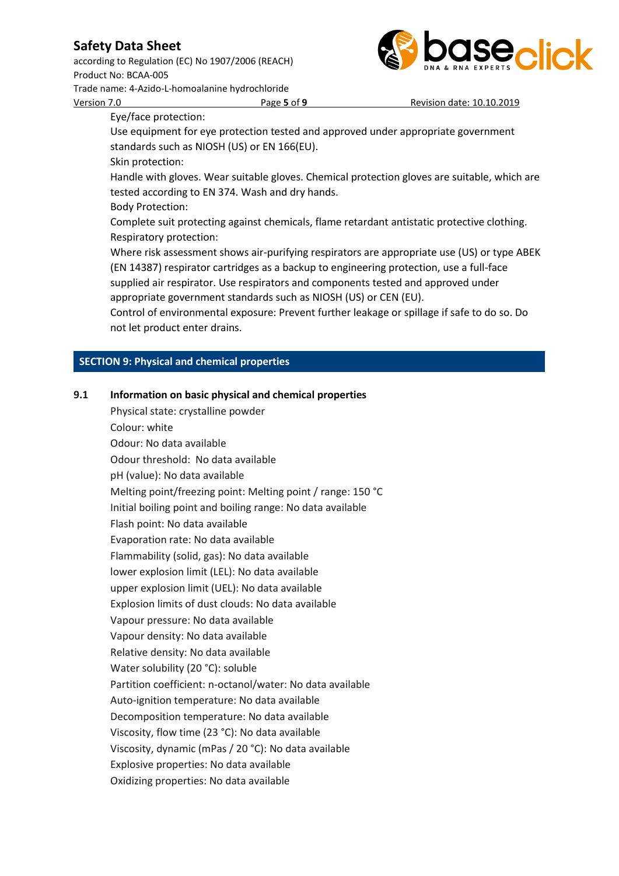according to Regulation (EC) No 1907/2006 (REACH) Product No: BCAA-005 Trade name: 4-Azido-L-homoalanine hydrochloride Version 7.0 Page **5** of **9** Revision date: 10.10.2019



Eye/face protection:

Use equipment for eye protection tested and approved under appropriate government standards such as NIOSH (US) or EN 166(EU).

Skin protection:

Handle with gloves. Wear suitable gloves. Chemical protection gloves are suitable, which are tested according to EN 374. Wash and dry hands.

Body Protection:

Complete suit protecting against chemicals, flame retardant antistatic protective clothing. Respiratory protection:

Where risk assessment shows air-purifying respirators are appropriate use (US) or type ABEK (EN 14387) respirator cartridges as a backup to engineering protection, use a full-face supplied air respirator. Use respirators and components tested and approved under appropriate government standards such as NIOSH (US) or CEN (EU).

Control of environmental exposure: Prevent further leakage or spillage if safe to do so. Do not let product enter drains.

# **SECTION 9: Physical and chemical properties**

# **9.1 Information on basic physical and chemical properties**

Physical state: crystalline powder Colour: white Odour: No data available Odour threshold: No data available pH (value): No data available Melting point/freezing point: Melting point / range: 150 °C Initial boiling point and boiling range: No data available Flash point: No data available Evaporation rate: No data available Flammability (solid, gas): No data available lower explosion limit (LEL): No data available upper explosion limit (UEL): No data available Explosion limits of dust clouds: No data available Vapour pressure: No data available Vapour density: No data available Relative density: No data available Water solubility (20 °C): soluble Partition coefficient: n-octanol/water: No data available Auto-ignition temperature: No data available Decomposition temperature: No data available Viscosity, flow time (23 °C): No data available Viscosity, dynamic (mPas / 20 °C): No data available Explosive properties: No data available Oxidizing properties: No data available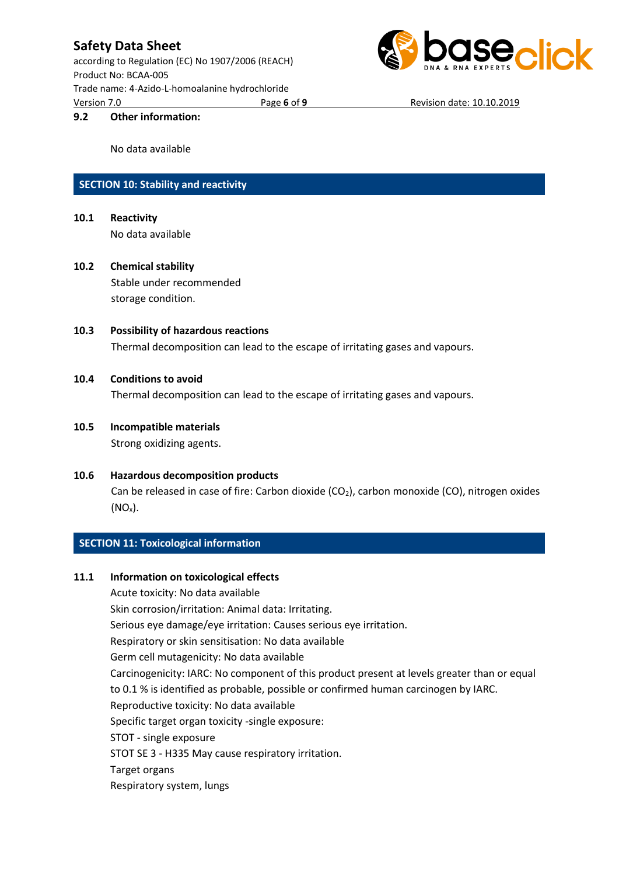according to Regulation (EC) No 1907/2006 (REACH) Product No: BCAA-005 Trade name: 4-Azido-L-homoalanine hydrochloride Version 7.0 Page **6** of **9** Revision date: 10.10.2019



#### **9.2 Other information:**

No data available

### **SECTION 10: Stability and reactivity**

- **10.1 Reactivity** No data available
- **10.2 Chemical stability** Stable under recommended storage condition.
- **10.3 Possibility of hazardous reactions** Thermal decomposition can lead to the escape of irritating gases and vapours.
- **10.4 Conditions to avoid**

Thermal decomposition can lead to the escape of irritating gases and vapours.

- **10.5 Incompatible materials** Strong oxidizing agents.
- **10.6 Hazardous decomposition products** Can be released in case of fire: Carbon dioxide (CO<sub>2</sub>), carbon monoxide (CO), nitrogen oxides  $(NO_x)$ .

### **SECTION 11: Toxicological information**

# **11.1 Information on toxicological effects** Acute toxicity: No data available Skin corrosion/irritation: Animal data: Irritating. Serious eye damage/eye irritation: Causes serious eye irritation. Respiratory or skin sensitisation: No data available Germ cell mutagenicity: No data available Carcinogenicity: IARC: No component of this product present at levels greater than or equal to 0.1 % is identified as probable, possible or confirmed human carcinogen by IARC. Reproductive toxicity: No data available Specific target organ toxicity -single exposure: STOT - single exposure STOT SE 3 - H335 May cause respiratory irritation. Target organs Respiratory system, lungs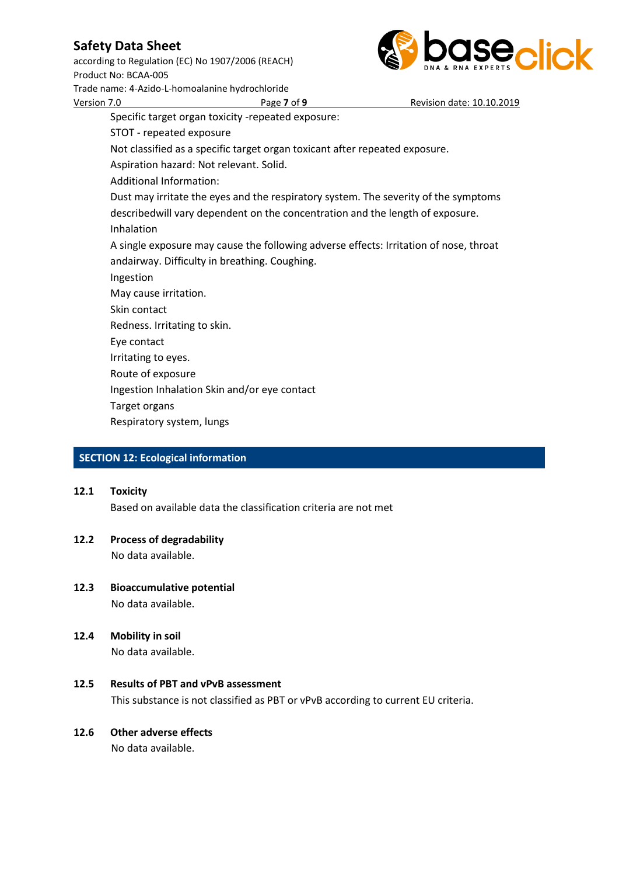according to Regulation (EC) No 1907/2006 (REACH) Product No: BCAA-005 Trade name: 4-Azido-L-homoalanine hydrochloride



Version 7.0 Page **7** of **9** Revision date: 10.10.2019 Specific target organ toxicity -repeated exposure: STOT - repeated exposure Not classified as a specific target organ toxicant after repeated exposure. Aspiration hazard: Not relevant. Solid. Additional Information: Dust may irritate the eyes and the respiratory system. The severity of the symptoms describedwill vary dependent on the concentration and the length of exposure. Inhalation A single exposure may cause the following adverse effects: Irritation of nose, throat andairway. Difficulty in breathing. Coughing. Ingestion May cause irritation. Skin contact Redness. Irritating to skin. Eye contact Irritating to eyes. Route of exposure Ingestion Inhalation Skin and/or eye contact Target organs Respiratory system, lungs

# **SECTION 12: Ecological information**

### **12.1 Toxicity**

Based on available data the classification criteria are not met

#### **12.2 Process of degradability** No data available.

- **12.3 Bioaccumulative potential** No data available.
- **12.4 Mobility in soil** No data available.

# **12.5 Results of PBT and vPvB assessment** This substance is not classified as PBT or vPvB according to current EU criteria.

#### **12.6 Other adverse effects** No data available.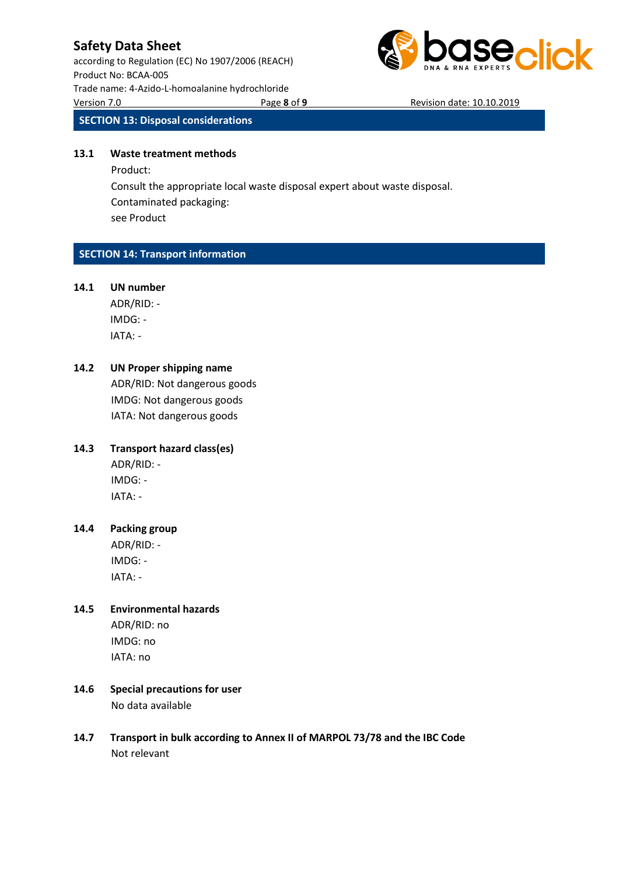according to Regulation (EC) No 1907/2006 (REACH) Product No: BCAA-005 Trade name: 4-Azido-L-homoalanine hydrochloride Version 7.0 Page **8** of **9** Revision date: 10.10.2019



**SECTION 13: Disposal considerations**

#### **13.1 Waste treatment methods**

Product: Consult the appropriate local waste disposal expert about waste disposal. Contaminated packaging: see Product

### **SECTION 14: Transport information**

#### **14.1 UN number**

ADR/RID: - IMDG: - IATA: -

### **14.2 UN Proper shipping name**

ADR/RID: Not dangerous goods IMDG: Not dangerous goods IATA: Not dangerous goods

# **14.3 Transport hazard class(es)**

ADR/RID: - IMDG: - IATA: -

### **14.4 Packing group** ADR/RID: -

IMDG: - IATA: -

# **14.5 Environmental hazards**

ADR/RID: no IMDG: no IATA: no

- **14.6 Special precautions for user** No data available
- **14.7 Transport in bulk according to Annex II of MARPOL 73/78 and the IBC Code** Not relevant